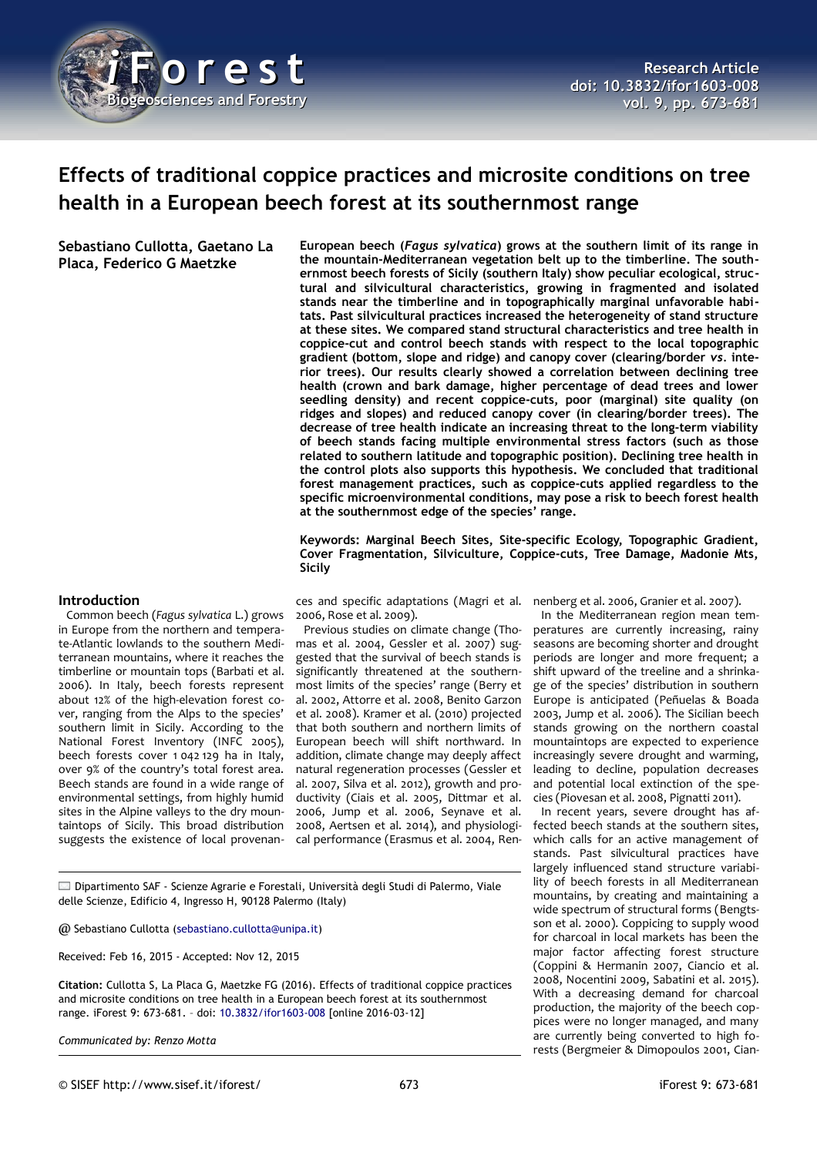

# **Effects of traditional coppice practices and microsite conditions on tree health in a European beech forest at its southernmost range**

**Sebastiano Cullotta, Gaetano La Placa, Federico G Maetzke**

**European beech (***Fagus sylvatica***) grows at the southern limit of its range in the mountain-Mediterranean vegetation belt up to the timberline. The southernmost beech forests of Sicily (southern Italy) show peculiar ecological, structural and silvicultural characteristics, growing in fragmented and isolated stands near the timberline and in topographically marginal unfavorable habitats. Past silvicultural practices increased the heterogeneity of stand structure at these sites. We compared stand structural characteristics and tree health in coppice-cut and control beech stands with respect to the local topographic gradient (bottom, slope and ridge) and canopy cover (clearing/border** *vs.* **interior trees). Our results clearly showed a correlation between declining tree health (crown and bark damage, higher percentage of dead trees and lower seedling density) and recent coppice-cuts, poor (marginal) site quality (on ridges and slopes) and reduced canopy cover (in clearing/border trees). The decrease of tree health indicate an increasing threat to the long-term viability of beech stands facing multiple environmental stress factors (such as those related to southern latitude and topographic position). Declining tree health in the control plots also supports this hypothesis. We concluded that traditional forest management practices, such as coppice-cuts applied regardless to the specific microenvironmental conditions, may pose a risk to beech forest health at the southernmost edge of the species' range.**

**Keywords: Marginal Beech Sites, Site-specific Ecology, Topographic Gradient, Cover Fragmentation, Silviculture, Coppice-cuts, Tree Damage, Madonie Mts, Sicily**

#### **Introduction**

Common beech (*Fagus sylvatica* L.) grows in Europe from the northern and temperate-Atlantic lowlands to the southern Mediterranean mountains, where it reaches the timberline or mountain tops (Barbati et al. 2006). In Italy, beech forests represent about 12% of the high-elevation forest cover, ranging from the Alps to the species' southern limit in Sicily. According to the National Forest Inventory (INFC 2005), beech forests cover 1 042 129 ha in Italy, over 9% of the country's total forest area. Beech stands are found in a wide range of environmental settings, from highly humid sites in the Alpine valleys to the dry mountaintops of Sicily. This broad distribution suggests the existence of local provenan-

ces and specific adaptations (Magri et al. nenberg et al. 2006, Granier et al. 2007). 2006, Rose et al. 2009).

Previous studies on climate change (Thomas et al. 2004, Gessler et al. 2007) suggested that the survival of beech stands is significantly threatened at the southernmost limits of the species' range (Berry et al. 2002, Attorre et al. 2008, Benito Garzon et al. 2008). Kramer et al. (2010) projected that both southern and northern limits of European beech will shift northward. In addition, climate change may deeply affect natural regeneration processes (Gessler et al. 2007, Silva et al. 2012), growth and productivity (Ciais et al. 2005, Dittmar et al. 2006, Jump et al. 2006, Seynave et al. 2008, Aertsen et al. 2014), and physiological performance (Erasmus et al. 2004, Ren-

In the Mediterranean region mean temperatures are currently increasing, rainy seasons are becoming shorter and drought periods are longer and more frequent; a shift upward of the treeline and a shrinkage of the species' distribution in southern Europe is anticipated (Peñuelas & Boada 2003, Jump et al. 2006). The Sicilian beech stands growing on the northern coastal mountaintops are expected to experience increasingly severe drought and warming, leading to decline, population decreases and potential local extinction of the species (Piovesan et al. 2008, Pignatti 2011).

In recent years, severe drought has affected beech stands at the southern sites, which calls for an active management of stands. Past silvicultural practices have largely influenced stand structure variability of beech forests in all Mediterranean mountains, by creating and maintaining a wide spectrum of structural forms (Bengtsson et al. 2000). Coppicing to supply wood for charcoal in local markets has been the major factor affecting forest structure (Coppini & Hermanin 2007, Ciancio et al. 2008, Nocentini 2009, Sabatini et al. 2015). With a decreasing demand for charcoal production, the majority of the beech coppices were no longer managed, and many are currently being converted to high forests (Bergmeier & Dimopoulos 2001, Cian-

Dipartimento SAF - Scienze Agrarie e Forestali, Università degli Studi di Palermo, Viale delle Scienze, Edificio 4, Ingresso H, 90128 Palermo (Italy)

@ Sebastiano Cullotta [\(sebastiano.cullotta@unipa.it\)](mailto:sebastiano.cullotta@unipa.it)

Received: Feb 16, 2015 - Accepted: Nov 12, 2015

**Citation:** Cullotta S, La Placa G, Maetzke FG (2016). Effects of traditional coppice practices and microsite conditions on tree health in a European beech forest at its southernmost range. iForest 9: 673-681. – doi: [10.3832/ifor1603-008](http://www.sisef.it/iforest/contents/?id=ifor1603-008) [online 2016-03-12]

*Communicated by: Renzo Motta*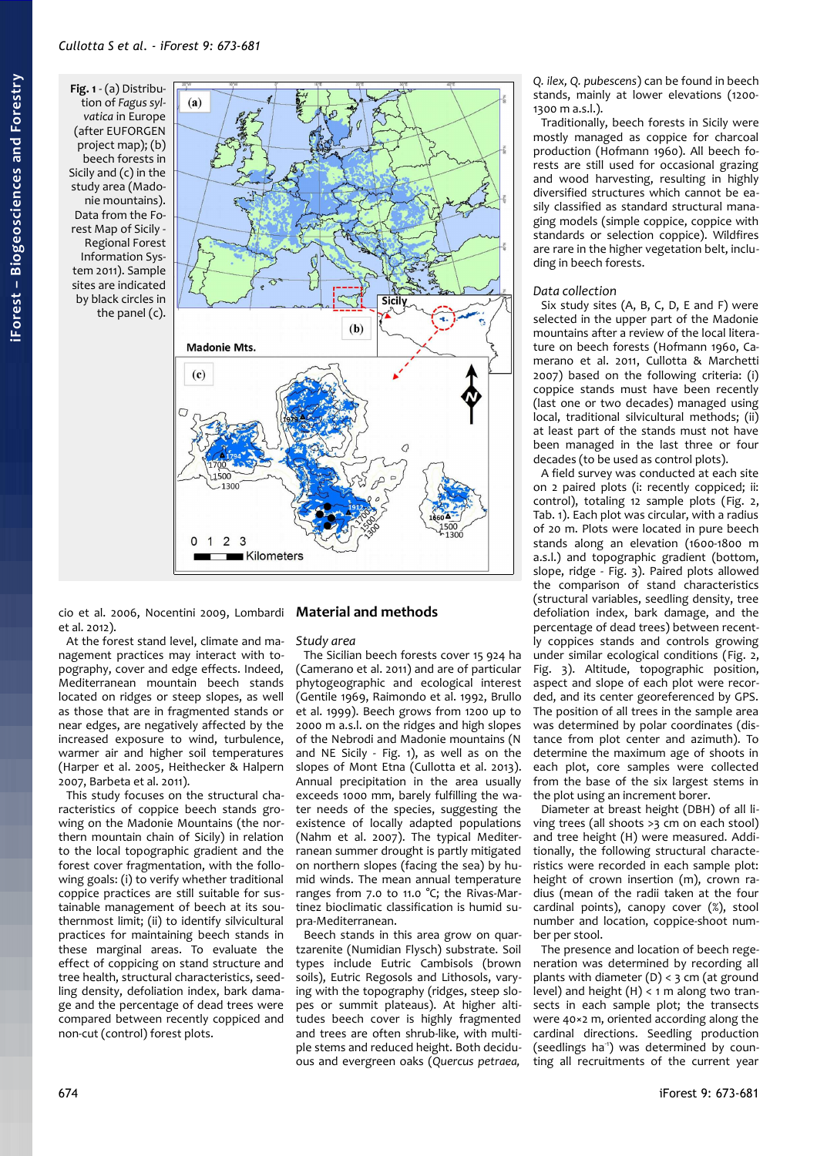<span id="page-1-0"></span>**Fig. 1** - (a) Distribution of *Fagus sylvatica* in Europe (after EUFORGEN project map); (b) beech forests in Sicily and (c) in the study area (Madonie mountains). Data from the Forest Map of Sicily - Regional Forest Information System 2011). Sample sites are indicated by black circles in the panel (c).



cio et al. 2006, Nocentini 2009, Lombardi et al. 2012).

At the forest stand level, climate and management practices may interact with topography, cover and edge effects. Indeed, Mediterranean mountain beech stands located on ridges or steep slopes, as well as those that are in fragmented stands or near edges, are negatively affected by the increased exposure to wind, turbulence, warmer air and higher soil temperatures (Harper et al. 2005, Heithecker & Halpern 2007, Barbeta et al. 2011).

This study focuses on the structural characteristics of coppice beech stands growing on the Madonie Mountains (the northern mountain chain of Sicily) in relation to the local topographic gradient and the forest cover fragmentation, with the following goals: (i) to verify whether traditional coppice practices are still suitable for sustainable management of beech at its southernmost limit; (ii) to identify silvicultural practices for maintaining beech stands in these marginal areas. To evaluate the effect of coppicing on stand structure and tree health, structural characteristics, seedling density, defoliation index, bark damage and the percentage of dead trees were compared between recently coppiced and non-cut (control) forest plots.

### **Material and methods**

#### *Study area*

The Sicilian beech forests cover 15 924 ha (Camerano et al. 2011) and are of particular phytogeographic and ecological interest (Gentile 1969, Raimondo et al. 1992, Brullo et al. 1999). Beech grows from 1200 up to 2000 m a.s.l. on the ridges and high slopes of the Nebrodi and Madonie mountains (N and NE Sicily - [Fig. 1\)](#page-1-0), as well as on the slopes of Mont Etna (Cullotta et al. 2013). Annual precipitation in the area usually exceeds 1000 mm, barely fulfilling the water needs of the species, suggesting the existence of locally adapted populations (Nahm et al. 2007). The typical Mediterranean summer drought is partly mitigated on northern slopes (facing the sea) by humid winds. The mean annual temperature ranges from 7.0 to 11.0 °C; the Rivas-Martinez bioclimatic classification is humid supra-Mediterranean.

Beech stands in this area grow on quartzarenite (Numidian Flysch) substrate. Soil types include Eutric Cambisols (brown soils), Eutric Regosols and Lithosols, varying with the topography (ridges, steep slopes or summit plateaus). At higher altitudes beech cover is highly fragmented and trees are often shrub-like, with multiple stems and reduced height. Both deciduous and evergreen oaks (*Quercus petraea,*

*Q. ilex, Q. pubescens*) can be found in beech stands, mainly at lower elevations (1200- 1300 m a.s.l.).

Traditionally, beech forests in Sicily were mostly managed as coppice for charcoal production (Hofmann 1960). All beech forests are still used for occasional grazing and wood harvesting, resulting in highly diversified structures which cannot be easily classified as standard structural managing models (simple coppice, coppice with standards or selection coppice). Wildfires are rare in the higher vegetation belt, including in beech forests.

#### *Data collection*

Six study sites (A, B, C, D, E and F) were selected in the upper part of the Madonie mountains after a review of the local literature on beech forests (Hofmann 1960, Camerano et al. 2011, Cullotta & Marchetti 2007) based on the following criteria: (i) coppice stands must have been recently (last one or two decades) managed using local, traditional silvicultural methods; (ii) at least part of the stands must not have been managed in the last three or four decades (to be used as control plots).

A field survey was conducted at each site on 2 paired plots (i: recently coppiced; ii: control), totaling 12 sample plots [\(Fig. 2,](#page-2-1) [Tab. 1\)](#page-2-2). Each plot was circular, with a radius of 20 m. Plots were located in pure beech stands along an elevation (1600-1800 m a.s.l.) and topographic gradient (bottom, slope, ridge - [Fig. 3\)](#page-2-0). Paired plots allowed the comparison of stand characteristics (structural variables, seedling density, tree defoliation index, bark damage, and the percentage of dead trees) between recently coppices stands and controls growing under similar ecological conditions [\(Fig. 2,](#page-2-1) [Fig. 3\)](#page-2-0). Altitude, topographic position, aspect and slope of each plot were recorded, and its center georeferenced by GPS. The position of all trees in the sample area was determined by polar coordinates (distance from plot center and azimuth). To determine the maximum age of shoots in each plot, core samples were collected from the base of the six largest stems in the plot using an increment borer.

Diameter at breast height (DBH) of all living trees (all shoots >3 cm on each stool) and tree height (H) were measured. Additionally, the following structural characteristics were recorded in each sample plot: height of crown insertion (m), crown radius (mean of the radii taken at the four cardinal points), canopy cover (%), stool number and location, coppice-shoot number per stool.

The presence and location of beech regeneration was determined by recording all plants with diameter  $(D) < 3$  cm (at ground level) and height  $(H) < 1$  m along two transects in each sample plot; the transects were 40×2 m, oriented according along the cardinal directions. Seedling production (seedlings ha<sup>1</sup>) was determined by counting all recruitments of the current year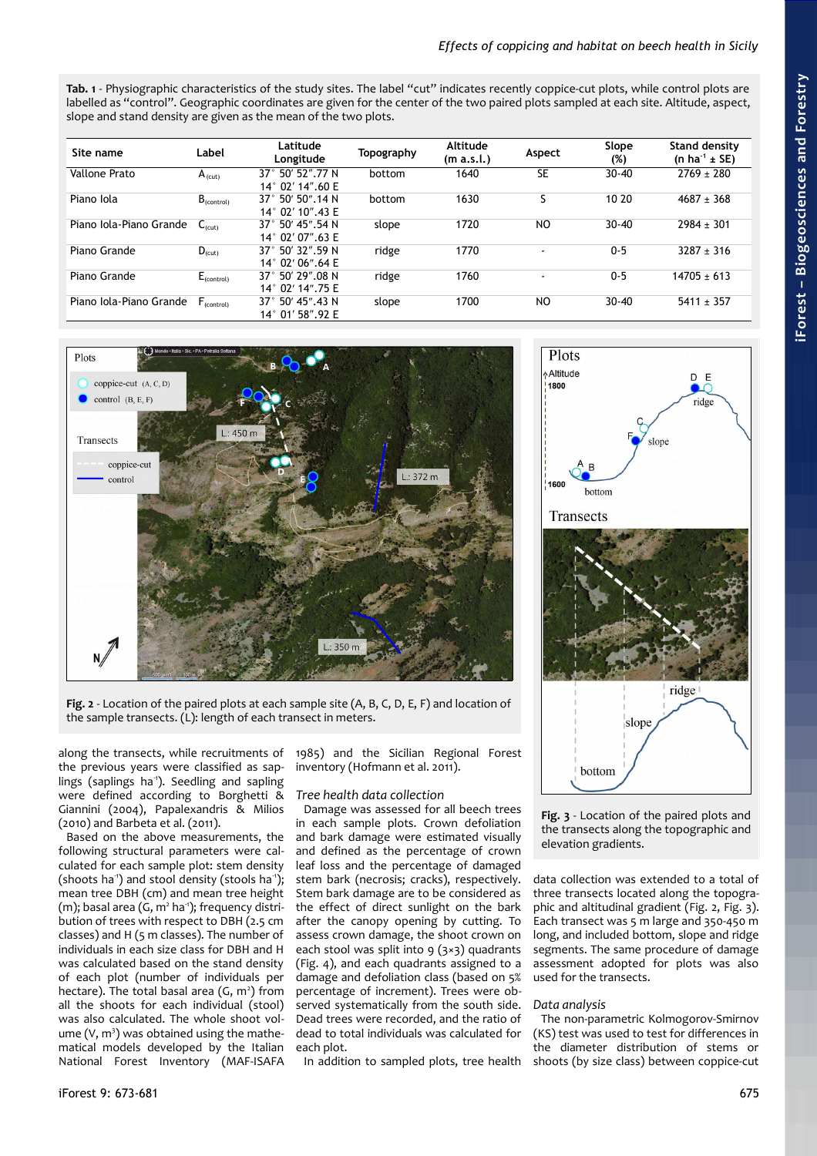<span id="page-2-2"></span>**Tab. 1** - Physiographic characteristics of the study sites. The label "cut" indicates recently coppice-cut plots, while control plots are labelled as "control". Geographic coordinates are given for the center of the two paired plots sampled at each site. Altitude, aspect, slope and stand density are given as the mean of the two plots.

| Site name               | Label              | Latitude<br>Longitude                                    | Topography | Altitude<br>(m a.s.l.) | Aspect         | Slope<br>(%) | <b>Stand density</b><br>(n ha <sup>-1</sup> $\pm$ SE) |
|-------------------------|--------------------|----------------------------------------------------------|------------|------------------------|----------------|--------------|-------------------------------------------------------|
| Vallone Prato           | $A_{(cut)}$        | 50' 52".77 N<br>$37^\circ$<br>$14^{\circ}$ 02' 14", 60 E | bottom     | 1640                   | <b>SE</b>      | $30 - 40$    | $2769 + 280$                                          |
| Piano Iola              | $B_{(control)}$    | 50' 50".14 N<br>$37^\circ$<br>14° 02' 10".43 E           | bottom     | 1630                   |                | 10 20        | $4687 \pm 368$                                        |
| Piano Iola-Piano Grande | $C_{\text{(cut)}}$ | 50' 45".54 N<br>$37^\circ$<br>14° 02' 07".63 E           | slope      | 1720                   | N <sub>O</sub> | $30 - 40$    | $2984 \pm 301$                                        |
| Piano Grande            | $D_{(cut)}$        | 50' 32".59 N<br>$37^\circ$<br>$14^{\circ}$ 02' 06".64 E  | ridge      | 1770                   | $\blacksquare$ | $0 - 5$      | $3287 \pm 316$                                        |
| Piano Grande            | $E_{(control)}$    | 37° 50′ 29″.08 N<br>14° 02' 14".75 E                     | ridge      | 1760                   | $\blacksquare$ | $0 - 5$      | $14705 \pm 613$                                       |
| Piano Jola-Piano Grande | $F_{(control)}$    | $37^{\circ}$ 50' 45".43 N<br>14° 01' 58".92 E            | slope      | 1700                   | NO             | $30 - 40$    | $5411 \pm 357$                                        |



<span id="page-2-1"></span>**Fig. 2** - Location of the paired plots at each sample site (A, B, C, D, E, F) and location of the sample transects. (L): length of each transect in meters.

along the transects, while recruitments of the previous years were classified as saplings (saplings ha<sup>1</sup>). Seedling and sapling were defined according to Borghetti & Giannini (2004), Papalexandris & Milios (2010) and Barbeta et al. (2011).

Based on the above measurements, the following structural parameters were calculated for each sample plot: stem density (shoots ha<sup>-1</sup>) and stool density (stools ha<sup>-1</sup>); mean tree DBH (cm) and mean tree height  $(m)$ ; basal area (G, m<sup>2</sup> ha<sup>-1</sup>); frequency distribution of trees with respect to DBH (2.5 cm classes) and H (5 m classes). The number of individuals in each size class for DBH and H was calculated based on the stand density of each plot (number of individuals per hectare). The total basal area  $(G, m^2)$  from all the shoots for each individual (stool) was also calculated. The whole shoot vol $ume (V, m<sup>3</sup>)$  was obtained using the mathematical models developed by the Italian National Forest Inventory (MAF-ISAFA

1985) and the Sicilian Regional Forest inventory (Hofmann et al. 2011).

#### *Tree health data collection*

Damage was assessed for all beech trees in each sample plots. Crown defoliation and bark damage were estimated visually and defined as the percentage of crown leaf loss and the percentage of damaged stem bark (necrosis; cracks), respectively. Stem bark damage are to be considered as the effect of direct sunlight on the bark after the canopy opening by cutting. To assess crown damage, the shoot crown on each stool was split into  $9$  (3×3) quadrants [\(Fig. 4\)](#page-3-0), and each quadrants assigned to a damage and defoliation class (based on 5% percentage of increment). Trees were observed systematically from the south side. Dead trees were recorded, and the ratio of dead to total individuals was calculated for each plot.

In addition to sampled plots, tree health



<span id="page-2-0"></span>**Fig. 3** - Location of the paired plots and the transects along the topographic and elevation gradients.

data collection was extended to a total of three transects located along the topographic and altitudinal gradient [\(Fig. 2,](#page-2-1) [Fig. 3\)](#page-2-0). Each transect was 5 m large and 350-450 m long, and included bottom, slope and ridge segments. The same procedure of damage assessment adopted for plots was also used for the transects.

#### *Data analysis*

The non-parametric Kolmogorov-Smirnov (KS) test was used to test for differences in the diameter distribution of stems or shoots (by size class) between coppice-cut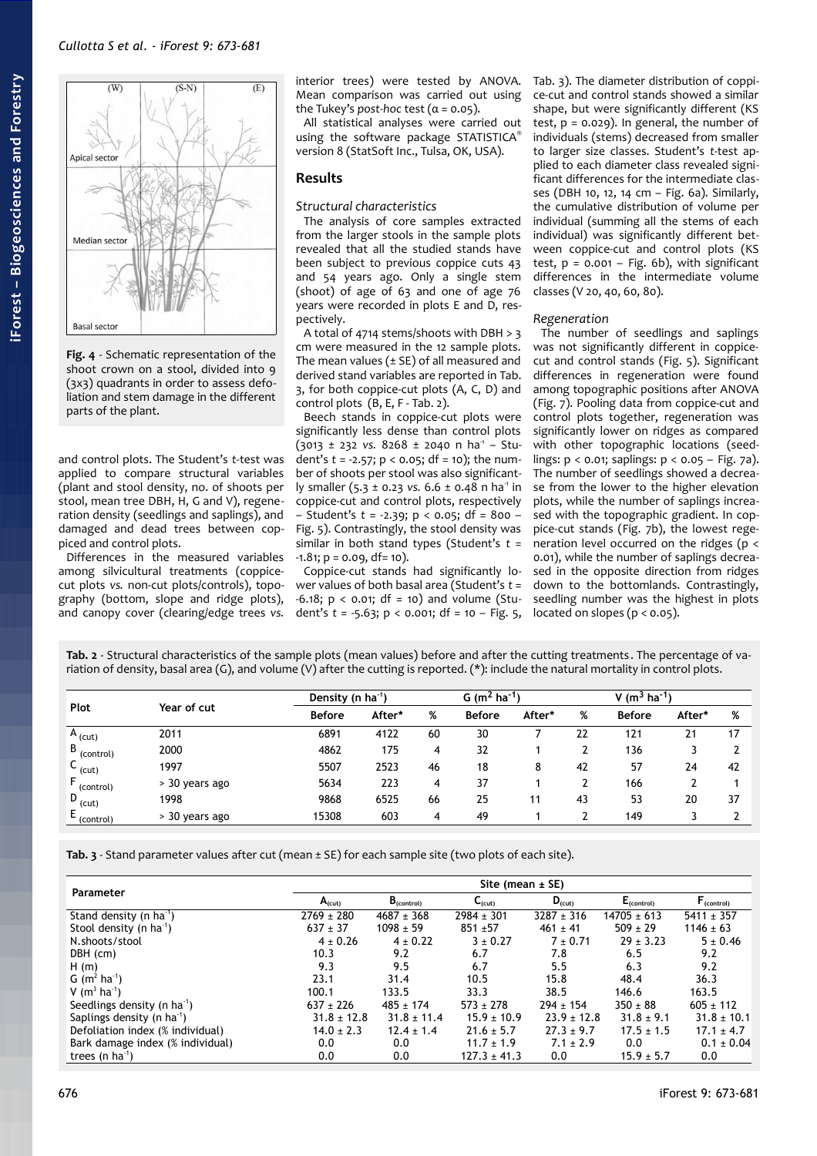

**Fig. 4** - Schematic representation of the shoot crown on a stool, divided into 9 (3x3) quadrants in order to assess defoliation and stem damage in the different parts of the plant.

<span id="page-3-0"></span>and control plots. The Student's *t*-test was applied to compare structural variables (plant and stool density, no. of shoots per stool, mean tree DBH, H, G and V), regeneration density (seedlings and saplings), and damaged and dead trees between coppiced and control plots.

Differences in the measured variables among silvicultural treatments (coppicecut plots *vs.* non-cut plots/controls), topography (bottom, slope and ridge plots), and canopy cover (clearing/edge trees *vs.*

interior trees) were tested by ANOVA. Mean comparison was carried out using the Tukey's *post-hoc* test  $(a = 0.05)$ .

All statistical analyses were carried out using the software package STATISTICA® version 8 (StatSoft Inc., Tulsa, OK, USA).

## **Results**

#### *Structural characteristics*

The analysis of core samples extracted from the larger stools in the sample plots revealed that all the studied stands have been subject to previous coppice cuts 43 and 54 years ago. Only a single stem (shoot) of age of 63 and one of age 76 years were recorded in plots E and D, respectively.

A total of 4714 stems/shoots with DBH > 3 cm were measured in the 12 sample plots. The mean values  $(± SE)$  of all measured and derived stand variables are reported in [Tab.](#page-3-1) [3,](#page-3-1) for both coppice-cut plots (A, C, D) and control plots (B, E, F - [Tab. 2\)](#page-3-2).

Beech stands in coppice-cut plots were significantly less dense than control plots  $(3013 \pm 232 \text{ vs. } 8268 \pm 2040 \text{ n ha}^1 - \text{Stu-}$ dent's *t* = -2.57; p < 0.05; df = 10); the number of shoots per stool was also significantly smaller (5.3 ± 0.23 *vs.* 6.6 ± 0.48 n ha<sup>-1</sup> in coppice-cut and control plots, respectively – Student's *t* = -2.39; p < 0.05; df = 800 – [Fig. 5\)](#page-4-0). Contrastingly, the stool density was similar in both stand types (Student's *t* =  $-1.81$ ;  $p = 0.09$ , df= 10).

Coppice-cut stands had significantly lower values of both basal area (Student's *t* =  $-6.18$ ;  $p < 0.01$ ; df = 10) and volume (Student's *t* = -5.63; p < 0.001; df = 10 – [Fig. 5,](#page-4-0) [Tab. 3\)](#page-3-1). The diameter distribution of coppice-cut and control stands showed a similar shape, but were significantly different (KS test,  $p = 0.029$ ). In general, the number of individuals (stems) decreased from smaller to larger size classes. Student's *t*-test applied to each diameter class revealed significant differences for the intermediate classes (DBH 10, 12, 14 cm – [Fig. 6a](#page-4-1)). Similarly, the cumulative distribution of volume per individual (summing all the stems of each individual) was significantly different between coppice-cut and control plots (KS test,  $p = 0.001 - Fig. 6b$  $p = 0.001 - Fig. 6b$ , with significant differences in the intermediate volume classes (V 20, 40, 60, 80).

#### *Regeneration*

The number of seedlings and saplings was not significantly different in coppicecut and control stands [\(Fig. 5\)](#page-4-0). Significant differences in regeneration were found among topographic positions after ANOVA [\(Fig. 7\)](#page-5-0). Pooling data from coppice-cut and control plots together, regeneration was significantly lower on ridges as compared with other topographic locations (seedlings:  $p < 0.01$ ; saplings:  $p < 0.05$  – [Fig. 7a](#page-5-0)). The number of seedlings showed a decrease from the lower to the higher elevation plots, while the number of saplings increased with the topographic gradient. In coppice-cut stands [\(Fig. 7b](#page-5-0)), the lowest regeneration level occurred on the ridges (p < 0.01), while the number of saplings decreased in the opposite direction from ridges down to the bottomlands. Contrastingly, seedling number was the highest in plots located on slopes ( $p < 0.05$ ).

<span id="page-3-2"></span>**Tab. 2** - Structural characteristics of the sample plots (mean values) before and after the cutting treatments . The percentage of variation of density, basal area (G), and volume (V) after the cutting is reported. (\*): include the natural mortality in control plots.

| Plot                   | Year of cut    |               | Density (n $ha^{-1}$ ) |    |               | G (m <sup>2</sup> ha <sup>-1</sup> ) |    |               | V $(m^3 \text{ ha}^{-1})$ |    |  |
|------------------------|----------------|---------------|------------------------|----|---------------|--------------------------------------|----|---------------|---------------------------|----|--|
|                        |                | <b>Before</b> | After*                 | %  | <b>Before</b> | After*                               | %  | <b>Before</b> | After*                    | %  |  |
| $^{\circ}$ A (cut)     | 2011           | 6891          | 4122                   | 60 | 30            |                                      | 22 | 121           | 21                        | 17 |  |
| B<br>(control)         | 2000           | 4862          | 175                    | 4  | 32            |                                      | L  | 136           | 3                         |    |  |
| (cut)                  | 1997           | 5507          | 2523                   | 46 | 18            | 8                                    | 42 | 57            | 24                        | 42 |  |
| (control)              | > 30 years ago | 5634          | 223                    | 4  | 37            |                                      |    | 166           |                           |    |  |
| $\overline{D}_{(cut)}$ | 1998           | 9868          | 6525                   | 66 | 25            | 11                                   | 43 | 53            | 20                        | 37 |  |
| (control)              | > 30 years ago | 15308         | 603                    | 4  | 49            |                                      | ົ  | 149           |                           |    |  |

<span id="page-3-1"></span>**Tab. 3** - Stand parameter values after cut (mean ± SE) for each sample site (two plots of each site).

| Parameter                              | Site (mean $\pm$ SE) |                 |                    |                 |                 |                 |  |  |
|----------------------------------------|----------------------|-----------------|--------------------|-----------------|-----------------|-----------------|--|--|
|                                        | A <sub>(cut)</sub>   | $B_{(control)}$ | $C_{\text{(cut)}}$ | $D_{(cut)}$     | $E_{(control)}$ | $F_{(control)}$ |  |  |
| Stand density (n ha <sup>1</sup> )     | $2769 \pm 280$       | $4687 \pm 368$  | $2984 \pm 301$     | $3287 \pm 316$  | $14705 \pm 613$ | $5411 \pm 357$  |  |  |
| Stool density (n ha <sup>1</sup> )     | $637 + 37$           | $1098 + 59$     | $851 + 57$         | $461 \pm 41$    | $509 + 29$      | $1146 \pm 63$   |  |  |
| N.shoots/stool                         | $4 \pm 0.26$         | $4 \pm 0.22$    | $3 \pm 0.27$       | $7 \pm 0.71$    | $29 \pm 3.23$   | $5 \pm 0.46$    |  |  |
| DBH (cm)                               | 10.3                 | 9.2             | 6.7                | 7.8             | 6.5             | 9.2             |  |  |
| H(m)                                   | 9.3                  | 9.5             | 6.7                | 5.5             | 6.3             | 9.2             |  |  |
| G $(m^2 \text{ ha}^{-1})$              | 23.1                 | 31.4            | 10.5               | 15.8            | 48.4            | 36.3            |  |  |
| V $(m^3$ ha <sup>1</sup> )             | 100.1                | 133.5           | 33.3               | 38.5            | 146.6           | 163.5           |  |  |
| Seedlings density (n ha <sup>1</sup> ) | $637 \pm 226$        | $485 \pm 174$   | $573 + 278$        | $294 \pm 154$   | $350 \pm 88$    | $605 \pm 112$   |  |  |
| Saplings density (n $ha^1$ )           | $31.8 \pm 12.8$      | $31.8 \pm 11.4$ | $15.9 \pm 10.9$    | $23.9 \pm 12.8$ | $31.8 \pm 9.1$  | $31.8 \pm 10.1$ |  |  |
| Defoliation index (% individual)       | $14.0 \pm 2.3$       | $12.4 \pm 1.4$  | $21.6 \pm 5.7$     | $27.3 \pm 9.7$  | $17.5 \pm 1.5$  | $17.1 \pm 4.7$  |  |  |
| Bark damage index (% individual)       | 0.0                  | 0.0             | $11.7 \pm 1.9$     | $7.1 \pm 2.9$   | 0.0             | $0.1 \pm 0.04$  |  |  |
| trees (n $ha^{-1}$ )                   | 0.0                  | 0.0             | $127.3 \pm 41.3$   | 0.0             | $15.9 \pm 5.7$  | 0.0             |  |  |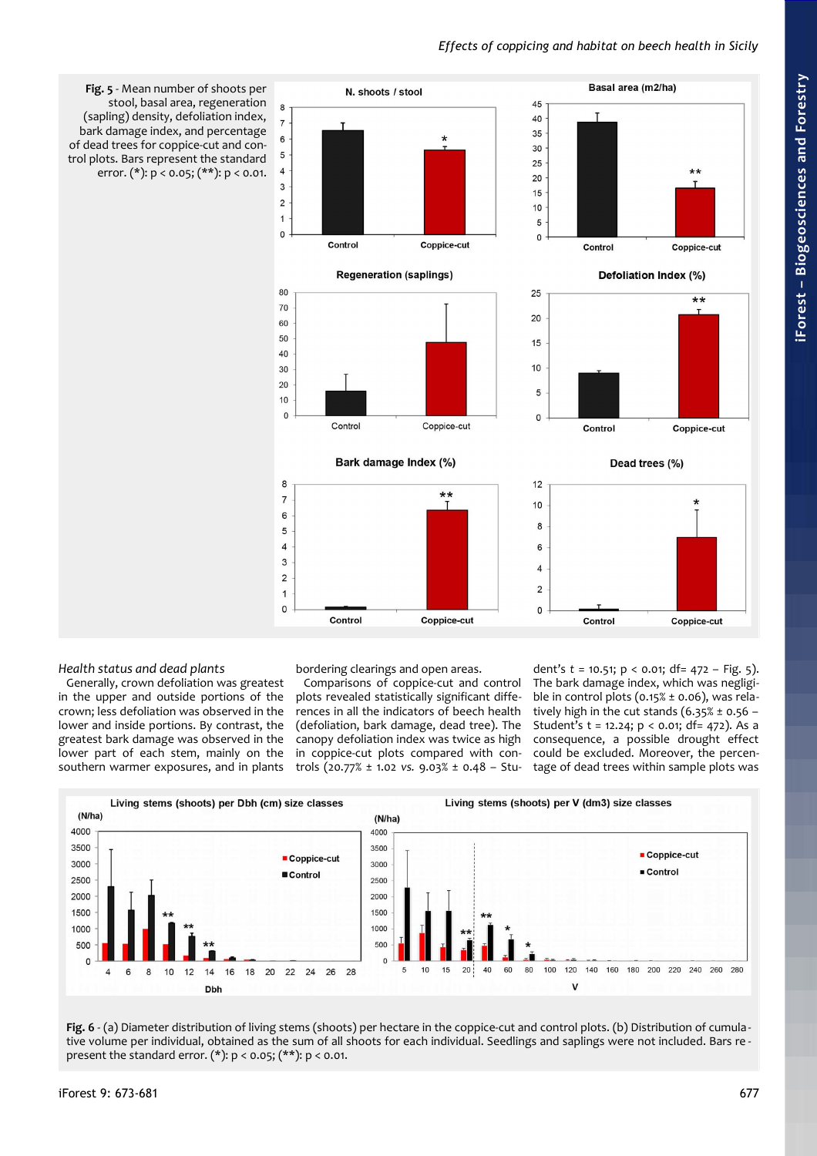# *Effects of coppicing and habitat on beech health in Sicily*

<span id="page-4-0"></span>

#### *Health status and dead plants*

Generally, crown defoliation was greatest in the upper and outside portions of the crown; less defoliation was observed in the lower and inside portions. By contrast, the greatest bark damage was observed in the lower part of each stem, mainly on the southern warmer exposures, and in plants

bordering clearings and open areas.

Comparisons of coppice-cut and control plots revealed statistically significant differences in all the indicators of beech health (defoliation, bark damage, dead tree). The canopy defoliation index was twice as high in coppice-cut plots compared with controls (20.77% ± 1.02 *vs.* 9.03% ± 0.48 – Stu-

dent's *t* = 10.51; p < 0.01; df= 472 – [Fig. 5\)](#page-4-0). The bark damage index, which was negligible in control plots ( $0.15\% \pm 0.06$ ), was relatively high in the cut stands  $(6.35\% \pm 0.56 -$ Student's  $t = 12.24$ ;  $p < 0.01$ ; df= 472). As a consequence, a possible drought effect could be excluded. Moreover, the percentage of dead trees within sample plots was



<span id="page-4-1"></span>**Fig. 6** - (a) Diameter distribution of living stems (shoots) per hectare in the coppice-cut and control plots. (b) Distribution of cumula tive volume per individual, obtained as the sum of all shoots for each individual. Seedlings and saplings were not included. Bars re present the standard error. (\*):  $p < 0.05$ ; (\*\*):  $p < 0.01$ .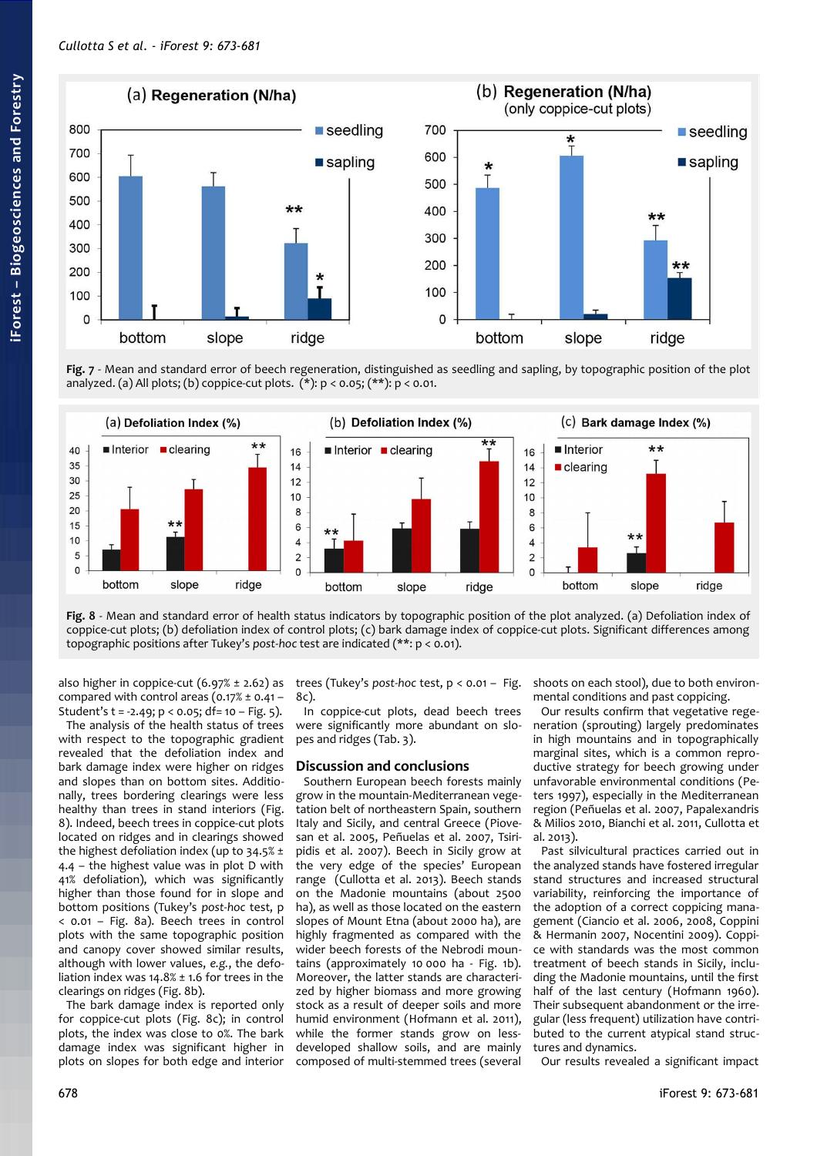

<span id="page-5-0"></span>**Fig. 7** - Mean and standard error of beech regeneration, distinguished as seedling and sapling, by topographic position of the plot analyzed. (a) All plots; (b) coppice-cut plots.  $(*): p < 0.05$ ;  $(**): p < 0.01$ .



<span id="page-5-1"></span>**Fig. 8** - Mean and standard error of health status indicators by topographic position of the plot analyzed. (a) Defoliation index of coppice-cut plots; (b) defoliation index of control plots; (c) bark damage index of coppice-cut plots. Significant differences among topographic positions after Tukey's *post-hoc* test are indicated (\*\*: p < 0.01).

also higher in coppice-cut  $(6.97% \pm 2.62)$  as compared with control areas  $(0.17% \pm 0.41 -$ Student's t = -2.49; p < 0.05; df= 10 – [Fig. 5\)](#page-4-0).

The analysis of the health status of trees with respect to the topographic gradient revealed that the defoliation index and bark damage index were higher on ridges and slopes than on bottom sites. Additionally, trees bordering clearings were less healthy than trees in stand interiors [\(Fig.](#page-5-1) [8\)](#page-5-1). Indeed, beech trees in coppice-cut plots located on ridges and in clearings showed the highest defoliation index (up to  $34.5\% \pm$ 4.4 – the highest value was in plot D with 41% defoliation), which was significantly higher than those found for in slope and bottom positions (Tukey's *post-hoc* test, p < 0.01 – [Fig. 8a](#page-5-1)). Beech trees in control plots with the same topographic position and canopy cover showed similar results, although with lower values, *e.g.*, the defoliation index was  $14.8\% \pm 1.6$  for trees in the clearings on ridges [\(Fig. 8b](#page-5-1)).

The bark damage index is reported only for coppice-cut plots [\(Fig. 8c](#page-5-1)); in control plots, the index was close to 0%. The bark damage index was significant higher in plots on slopes for both edge and interior trees (Tukey's *post-hoc* test, p < 0.01 – [Fig.](#page-5-1) [8c](#page-5-1)).

In coppice-cut plots, dead beech trees were significantly more abundant on slopes and ridges [\(Tab. 3\)](#page-3-1).

#### **Discussion and conclusions**

Southern European beech forests mainly grow in the mountain-Mediterranean vegetation belt of northeastern Spain, southern Italy and Sicily, and central Greece (Piovesan et al. 2005, Peñuelas et al. 2007, Tsiripidis et al. 2007). Beech in Sicily grow at the very edge of the species' European range (Cullotta et al. 2013). Beech stands on the Madonie mountains (about 2500 ha), as well as those located on the eastern slopes of Mount Etna (about 2000 ha), are highly fragmented as compared with the wider beech forests of the Nebrodi mountains (approximately 10 000 ha - [Fig. 1b](#page-1-0)). Moreover, the latter stands are characterized by higher biomass and more growing stock as a result of deeper soils and more humid environment (Hofmann et al. 2011), while the former stands grow on lessdeveloped shallow soils, and are mainly composed of multi-stemmed trees (several

shoots on each stool), due to both environmental conditions and past coppicing.

Our results confirm that vegetative regeneration (sprouting) largely predominates in high mountains and in topographically marginal sites, which is a common reproductive strategy for beech growing under unfavorable environmental conditions (Peters 1997), especially in the Mediterranean region (Peñuelas et al. 2007, Papalexandris & Milios 2010, Bianchi et al. 2011, Cullotta et al.  $2012$ 

Past silvicultural practices carried out in the analyzed stands have fostered irregular stand structures and increased structural variability, reinforcing the importance of the adoption of a correct coppicing management (Ciancio et al. 2006, 2008, Coppini & Hermanin 2007, Nocentini 2009). Coppice with standards was the most common treatment of beech stands in Sicily, including the Madonie mountains, until the first half of the last century (Hofmann 1960). Their subsequent abandonment or the irregular (less frequent) utilization have contributed to the current atypical stand structures and dynamics.

Our results revealed a significant impact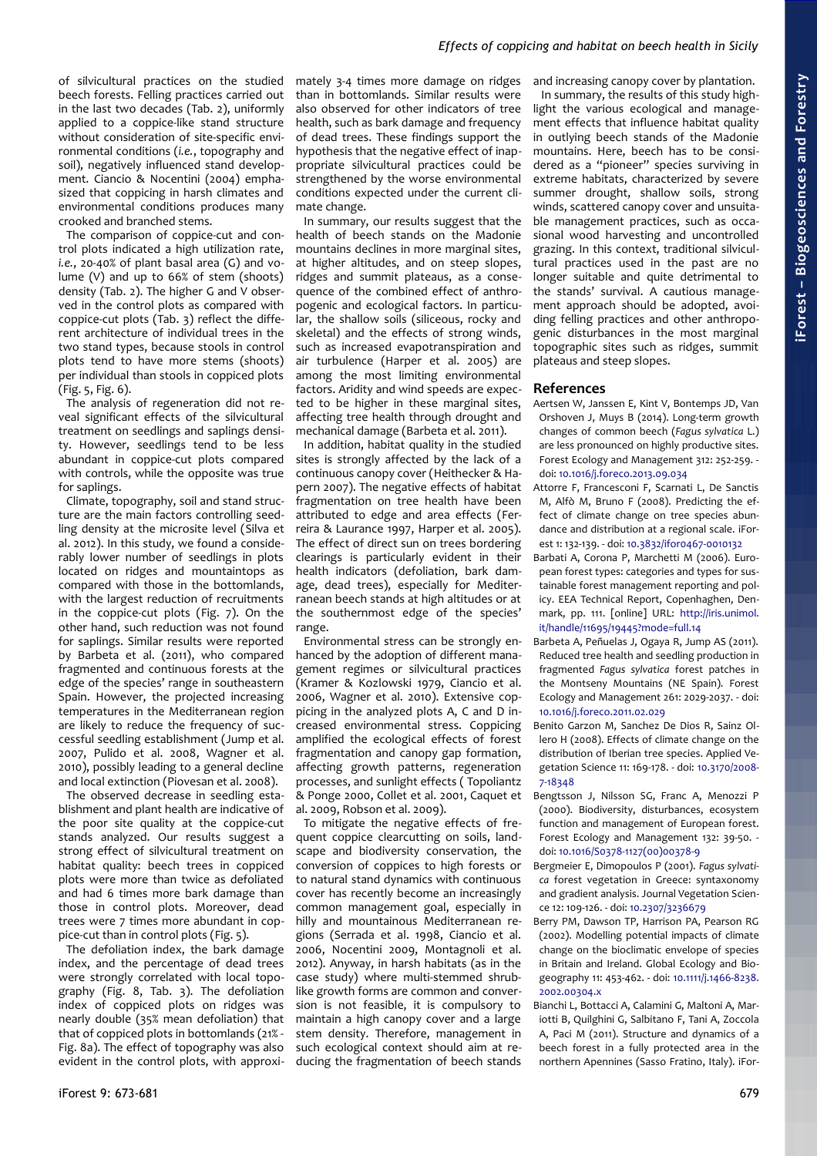of silvicultural practices on the studied beech forests. Felling practices carried out in the last two decades [\(Tab. 2\)](#page-3-2), uniformly applied to a coppice-like stand structure without consideration of site-specific environmental conditions (*i.e.*, topography and soil), negatively influenced stand development. Ciancio & Nocentini (2004) emphasized that coppicing in harsh climates and environmental conditions produces many crooked and branched stems.

The comparison of coppice-cut and control plots indicated a high utilization rate, *i.e.*, 20-40% of plant basal area (G) and volume (V) and up to 66% of stem (shoots) density [\(Tab. 2\)](#page-3-2). The higher G and V observed in the control plots as compared with coppice-cut plots [\(Tab. 3\)](#page-3-1) reflect the different architecture of individual trees in the two stand types, because stools in control plots tend to have more stems (shoots) per individual than stools in coppiced plots [\(Fig. 5,](#page-4-0) [Fig. 6\)](#page-4-1).

The analysis of regeneration did not reveal significant effects of the silvicultural treatment on seedlings and saplings density. However, seedlings tend to be less abundant in coppice-cut plots compared with controls, while the opposite was true for saplings.

Climate, topography, soil and stand structure are the main factors controlling seedling density at the microsite level (Silva et al. 2012). In this study, we found a considerably lower number of seedlings in plots located on ridges and mountaintops as compared with those in the bottomlands, with the largest reduction of recruitments in the coppice-cut plots [\(Fig. 7\)](#page-5-0). On the other hand, such reduction was not found for saplings. Similar results were reported by Barbeta et al. (2011), who compared fragmented and continuous forests at the edge of the species' range in southeastern Spain. However, the projected increasing temperatures in the Mediterranean region are likely to reduce the frequency of successful seedling establishment (Jump et al. 2007, Pulido et al. 2008, Wagner et al. 2010), possibly leading to a general decline and local extinction (Piovesan et al. 2008).

The observed decrease in seedling establishment and plant health are indicative of the poor site quality at the coppice-cut stands analyzed. Our results suggest a strong effect of silvicultural treatment on habitat quality: beech trees in coppiced plots were more than twice as defoliated and had 6 times more bark damage than those in control plots. Moreover, dead trees were 7 times more abundant in coppice-cut than in control plots [\(Fig. 5\)](#page-4-0).

The defoliation index, the bark damage index, and the percentage of dead trees were strongly correlated with local topography [\(Fig. 8,](#page-5-1) [Tab. 3\)](#page-3-1). The defoliation index of coppiced plots on ridges was nearly double (35% mean defoliation) that that of coppiced plots in bottomlands (21% - [Fig. 8a](#page-5-1)). The effect of topography was also evident in the control plots, with approxi-

mately 3-4 times more damage on ridges than in bottomlands. Similar results were also observed for other indicators of tree health, such as bark damage and frequency of dead trees. These findings support the hypothesis that the negative effect of inappropriate silvicultural practices could be strengthened by the worse environmental conditions expected under the current climate change.

In summary, our results suggest that the health of beech stands on the Madonie mountains declines in more marginal sites, at higher altitudes, and on steep slopes, ridges and summit plateaus, as a consequence of the combined effect of anthropogenic and ecological factors. In particular, the shallow soils (siliceous, rocky and skeletal) and the effects of strong winds, such as increased evapotranspiration and air turbulence (Harper et al. 2005) are among the most limiting environmental factors. Aridity and wind speeds are expected to be higher in these marginal sites, affecting tree health through drought and mechanical damage (Barbeta et al. 2011).

In addition, habitat quality in the studied sites is strongly affected by the lack of a continuous canopy cover (Heithecker & Hapern 2007). The negative effects of habitat fragmentation on tree health have been attributed to edge and area effects (Ferreira & Laurance 1997, Harper et al. 2005). The effect of direct sun on trees bordering clearings is particularly evident in their health indicators (defoliation, bark damage, dead trees), especially for Mediterranean beech stands at high altitudes or at the southernmost edge of the species' range.

Environmental stress can be strongly enhanced by the adoption of different management regimes or silvicultural practices (Kramer & Kozlowski 1979, Ciancio et al. 2006, Wagner et al. 2010). Extensive coppicing in the analyzed plots A, C and D increased environmental stress. Coppicing amplified the ecological effects of forest fragmentation and canopy gap formation, affecting growth patterns, regeneration processes, and sunlight effects ( Topoliantz & Ponge 2000, Collet et al. 2001, Caquet et al. 2009, Robson et al. 2009).

To mitigate the negative effects of frequent coppice clearcutting on soils, landscape and biodiversity conservation, the conversion of coppices to high forests or to natural stand dynamics with continuous cover has recently become an increasingly common management goal, especially in hilly and mountainous Mediterranean regions (Serrada et al. 1998, Ciancio et al. 2006, Nocentini 2009, Montagnoli et al. 2012). Anyway, in harsh habitats (as in the case study) where multi-stemmed shrublike growth forms are common and conversion is not feasible, it is compulsory to maintain a high canopy cover and a large stem density. Therefore, management in such ecological context should aim at reducing the fragmentation of beech stands

and increasing canopy cover by plantation. In summary, the results of this study highlight the various ecological and management effects that influence habitat quality in outlying beech stands of the Madonie mountains. Here, beech has to be considered as a "pioneer" species surviving in extreme habitats, characterized by severe summer drought, shallow soils, strong winds, scattered canopy cover and unsuitable management practices, such as occasional wood harvesting and uncontrolled grazing. In this context, traditional silvicultural practices used in the past are no longer suitable and quite detrimental to the stands' survival. A cautious management approach should be adopted, avoiding felling practices and other anthropogenic disturbances in the most marginal

#### **References**

plateaus and steep slopes.

- Aertsen W, Janssen E, Kint V, Bontemps JD, Van Orshoven J, Muys B (2014). Long-term growth changes of common beech (*Fagus sylvatica* L.) are less pronounced on highly productive sites. Forest Ecology and Management 312: 252-259. doi: [10.1016/j.foreco.2013.09.034](http://dx.doi.org/10.1016/j.foreco.2013.09.034)
- Attorre F, Francesconi F, Scarnati L, De Sanctis M, Alfò M, Bruno F (2008). Predicting the effect of climate change on tree species abundance and distribution at a regional scale. iForest 1: 132-139. - doi: [10.3832/ifor0467-0010132](http://dx.doi.org/10.3832/ifor0467-0010132)
- Barbati A, Corona P, Marchetti M (2006). European forest types: categories and types for sustainable forest management reporting and policy. EEA Technical Report, Copenhaghen, Denmark, pp. 111. [online] URL: [http://iris.unimol.](http://iris.unimol.it/handle/11695/19445?mode=full.14) [it/handle/11695/19445?mode=full.14](http://iris.unimol.it/handle/11695/19445?mode=full.14)
- Barbeta A, Peñuelas J, Ogaya R, Jump AS (2011). Reduced tree health and seedling production in fragmented *Fagus sylvatica* forest patches in the Montseny Mountains (NE Spain). Forest Ecology and Management 261: 2029-2037. - doi: [10.1016/j.foreco.2011.02.029](http://dx.doi.org/10.1016/j.foreco.2011.02.029)
- Benito Garzon M, Sanchez De Dios R, Sainz Ollero H (2008). Effects of climate change on the distribution of Iberian tree species. Applied Vegetation Science 11: 169-178. - doi: [10.3170/2008-](http://dx.doi.org/10.3170/2008-7-18348) [7-18348](http://dx.doi.org/10.3170/2008-7-18348)
- Bengtsson J, Nilsson SG, Franc A, Menozzi P (2000). Biodiversity, disturbances, ecosystem function and management of European forest. Forest Ecology and Management 132: 39-50. doi: [10.1016/S0378-1127\(00\)00378-9](http://dx.doi.org/10.1016/S0378-1127(00)00378-9)
- Bergmeier E, Dimopoulos P (2001). *Fagus sylvatica* forest vegetation in Greece: syntaxonomy and gradient analysis. Journal Vegetation Science 12: 109-126. - doi: [10.2307/3236679](http://dx.doi.org/10.2307/3236679)
- Berry PM, Dawson TP, Harrison PA, Pearson RG (2002). Modelling potential impacts of climate change on the bioclimatic envelope of species in Britain and Ireland. Global Ecology and Biogeography 11: 453-462. - doi: [10.1111/j.1466-8238.](http://dx.doi.org/10.1111/j.1466-8238.2002.00304.x) [2002.00304.x](http://dx.doi.org/10.1111/j.1466-8238.2002.00304.x)
- Bianchi L, Bottacci A, Calamini G, Maltoni A, Mariotti B, Quilghini G, Salbitano F, Tani A, Zoccola A, Paci M (2011). Structure and dynamics of a beech forest in a fully protected area in the northern Apennines (Sasso Fratino, Italy). iFor-

**iForest –**

**Bio geoscie**

**nces a nd Forestry**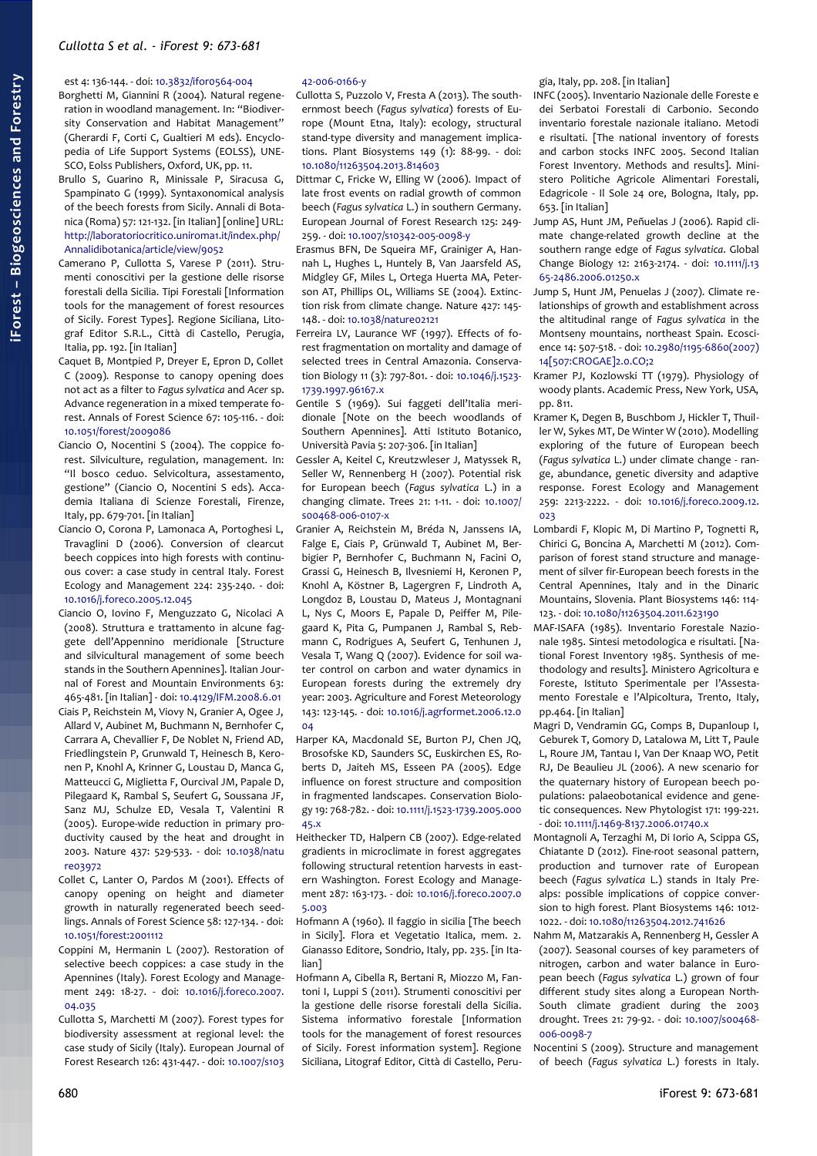#### est 4: 136-144. - doi: [10.3832/ifor0564-004](http://dx.doi.org/10.3832/ifor0564-004)

Borghetti M, Giannini R (2004). Natural regeneration in woodland management. In: "Biodiversity Conservation and Habitat Management" (Gherardi F, Corti C, Gualtieri M eds). Encyclopedia of Life Support Systems (EOLSS), UNE-SCO, Eolss Publishers, Oxford, UK, pp. 11.

Brullo S, Guarino R, Minissale P, Siracusa G, Spampinato G (1999). Syntaxonomical analysis of the beech forests from Sicily. Annali di Botanica (Roma) 57: 121-132. [in Italian] [online] URL: [http://laboratoriocritico.uniroma1.it/index.php/](http://laboratoriocritico.uniroma1.it/index.php/Annalidibotanica/article/view/9052) [Annalidibotanica/article/view/9052](http://laboratoriocritico.uniroma1.it/index.php/Annalidibotanica/article/view/9052)

- Camerano P, Cullotta S, Varese P (2011). Strumenti conoscitivi per la gestione delle risorse forestali della Sicilia. Tipi Forestali [Information tools for the management of forest resources of Sicily. Forest Types]. Regione Siciliana, Litograf Editor S.R.L., Città di Castello, Perugia, Italia, pp. 192. [in Italian]
- Caquet B, Montpied P, Dreyer E, Epron D, Collet C (2009). Response to canopy opening does not act as a filter to *Fagus sylvatica* and *Acer* sp. Advance regeneration in a mixed temperate forest. Annals of Forest Science 67: 105-116. - doi: [10.1051/forest/2009086](http://dx.doi.org/10.1051/forest/2009086)
- Ciancio O, Nocentini S (2004). The coppice forest. Silviculture, regulation, management. In: "Il bosco ceduo. Selvicoltura, assestamento, gestione" (Ciancio O, Nocentini S eds). Accademia Italiana di Scienze Forestali, Firenze, Italy, pp. 679-701. [in Italian]
- Ciancio O, Corona P, Lamonaca A, Portoghesi L, Travaglini D (2006). Conversion of clearcut beech coppices into high forests with continuous cover: a case study in central Italy. Forest Ecology and Management 224: 235-240. - doi: [10.1016/j.foreco.2005.12.045](http://dx.doi.org/10.1016/j.foreco.2005.12.045)
- Ciancio O, Iovino F, Menguzzato G, Nicolaci A (2008). Struttura e trattamento in alcune faggete dell'Appennino meridionale [Structure and silvicultural management of some beech stands in the Southern Apennines]. Italian Journal of Forest and Mountain Environments 63: 465-481. [in Italian] - doi: [10.4129/IFM.2008.6.01](http://dx.doi.org/10.4129/IFM.2008.6.01)
- Ciais P, Reichstein M, Viovy N, Granier A, Ogee J, Allard V, Aubinet M, Buchmann N, Bernhofer C, Carrara A, Chevallier F, De Noblet N, Friend AD, Friedlingstein P, Grunwald T, Heinesch B, Keronen P, Knohl A, Krinner G, Loustau D, Manca G, Matteucci G, Miglietta F, Ourcival JM, Papale D, Pilegaard K, Rambal S, Seufert G, Soussana JF, Sanz MJ, Schulze ED, Vesala T, Valentini R (2005). Europe-wide reduction in primary productivity caused by the heat and drought in 2003. Nature 437: 529-533. - doi: [10.1038/natu](http://dx.doi.org/10.1038/nature03972) [re03972](http://dx.doi.org/10.1038/nature03972)
- Collet C, Lanter O, Pardos M (2001). Effects of canopy opening on height and diameter growth in naturally regenerated beech seedlings. Annals of Forest Science 58: 127-134. - doi: [10.1051/forest:2001112](http://dx.doi.org/10.1051/forest:2001112)
- Coppini M, Hermanin L (2007). Restoration of selective beech coppices: a case study in the Apennines (Italy). Forest Ecology and Management 249: 18-27. - doi: [10.1016/j.foreco.2007.](http://dx.doi.org/10.1016/j.foreco.2007.04.035) [04.035](http://dx.doi.org/10.1016/j.foreco.2007.04.035)
- Cullotta S, Marchetti M (2007). Forest types for biodiversity assessment at regional level: the case study of Sicily (Italy). European Journal of Forest Research 126: 431-447. - doi: [10.1007/s103](http://dx.doi.org/10.1007/s10342-006-0166-y)

#### [42-006-0166-y](http://dx.doi.org/10.1007/s10342-006-0166-y)

- Cullotta S, Puzzolo V, Fresta A (2013). The southernmost beech (*Fagus sylvatica*) forests of Europe (Mount Etna, Italy): ecology, structural stand-type diversity and management implications. Plant Biosystems 149 (1): 88-99. - doi: [10.1080/11263504.2013.814603](http://dx.doi.org/10.1080/11263504.2013.814603)
- Dittmar C, Fricke W, Elling W (2006). Impact of late frost events on radial growth of common beech (*Fagus sylvatica* L.) in southern Germany. European Journal of Forest Research 125: 249- 259. - doi: [10.1007/s10342-005-0098-y](http://dx.doi.org/10.1007/s10342-005-0098-y)
- Erasmus BFN, De Squeira MF, Grainiger A, Hannah L, Hughes L, Huntely B, Van Jaarsfeld AS, Midgley GF, Miles L, Ortega Huerta MA, Peterson AT, Phillips OL, Williams SE (2004). Extinction risk from climate change. Nature 427: 145- 148. - doi: [10.1038/nature02121](http://dx.doi.org/10.1038/nature02121)
- Ferreira LV, Laurance WF (1997). Effects of forest fragmentation on mortality and damage of selected trees in Central Amazonia. Conservation Biology 11 (3): 797-801. - doi: [10.1046/j.1523-](http://dx.doi.org/10.1046/j.1523-1739.1997.96167.x) [1739.1997.96167.x](http://dx.doi.org/10.1046/j.1523-1739.1997.96167.x)
- Gentile S (1969). Sui faggeti dell'Italia meridionale [Note on the beech woodlands of Southern Apennines]. Atti Istituto Botanico, Università Pavia 5: 207-306. [in Italian]
- Gessler A, Keitel C, Kreutzwleser J, Matyssek R, Seller W, Rennenberg H (2007). Potential risk for European beech (*Fagus sylvatica* L.) in a changing climate. Trees 21: 1-11. - doi: [10.1007/](http://dx.doi.org/10.1007/s00468-006-0107-x) [s00468-006-0107-x](http://dx.doi.org/10.1007/s00468-006-0107-x)
- Granier A, Reichstein M, Bréda N, Janssens IA, Falge E, Ciais P, Grünwald T, Aubinet M, Berbigier P, Bernhofer C, Buchmann N, Facini O, Grassi G, Heinesch B, Ilvesniemi H, Keronen P, Knohl A, Köstner B, Lagergren F, Lindroth A, Longdoz B, Loustau D, Mateus J, Montagnani L, Nys C, Moors E, Papale D, Peiffer M, Pilegaard K, Pita G, Pumpanen J, Rambal S, Rebmann C, Rodrigues A, Seufert G, Tenhunen J, Vesala T, Wang Q (2007). Evidence for soil water control on carbon and water dynamics in European forests during the extremely dry year: 2003. Agriculture and Forest Meteorology 143: 123-145. - doi: [10.1016/j.agrformet.2006.12.0](http://dx.doi.org/10.1016/j.agrformet.2006.12.004)  $04$
- Harper KA, Macdonald SE, Burton PJ, Chen JQ, Brosofske KD, Saunders SC, Euskirchen ES, Roberts D, Jaiteh MS, Esseen PA (2005). Edge influence on forest structure and composition in fragmented landscapes. Conservation Biology 19: 768-782. - doi: [10.1111/j.1523-1739.2005.000](http://dx.doi.org/10.1111/j.1523-1739.2005.00045.x) [45.x](http://dx.doi.org/10.1111/j.1523-1739.2005.00045.x)
- Heithecker TD, Halpern CB (2007). Edge-related gradients in microclimate in forest aggregates following structural retention harvests in eastern Washington. Forest Ecology and Management 287: 163-173. - doi: [10.1016/j.foreco.2007.0](http://dx.doi.org/10.1016/j.foreco.2007.05.003) [5.003](http://dx.doi.org/10.1016/j.foreco.2007.05.003)
- Hofmann A (1960). Il faggio in sicilia [The beech in Sicily]. Flora et Vegetatio Italica, mem. 2. Gianasso Editore, Sondrio, Italy, pp. 235. [in Italian]
- Hofmann A, Cibella R, Bertani R, Miozzo M, Fantoni I, Luppi S (2011). Strumenti conoscitivi per la gestione delle risorse forestali della Sicilia. Sistema informativo forestale [Information tools for the management of forest resources of Sicily. Forest information system]. Regione Siciliana, Litograf Editor, Città di Castello, Peru-

gia, Italy, pp. 208. [in Italian]

- INFC (2005). Inventario Nazionale delle Foreste e dei Serbatoi Forestali di Carbonio. Secondo inventario forestale nazionale italiano. Metodi e risultati. [The national inventory of forests and carbon stocks INFC 2005. Second Italian Forest Inventory. Methods and results]. Ministero Politiche Agricole Alimentari Forestali, Edagricole - Il Sole 24 ore, Bologna, Italy, pp. 653. [in Italian]
- Jump AS, Hunt JM, Peñuelas J (2006). Rapid climate change-related growth decline at the southern range edge of *Fagus sylvatica*. Global Change Biology 12: 2163-2174. - doi: [10.1111/j.13](http://dx.doi.org/10.1111/j.1365-2486.2006.01250.x) [65-2486.2006.01250.x](http://dx.doi.org/10.1111/j.1365-2486.2006.01250.x)
- Jump S, Hunt JM, Penuelas J (2007). Climate relationships of growth and establishment across the altitudinal range of *Fagus sylvatica* in the Montseny mountains, northeast Spain. Ecoscience 14: 507-518. - doi: [10.2980/1195-6860\(2007\)](http://dx.doi.org/10.2980/1195-6860(2007)14%5B507:CROGAE%5D2.0.CO;2) [14\[507:CROGAE\]2.0.CO;2](http://dx.doi.org/10.2980/1195-6860(2007)14%5B507:CROGAE%5D2.0.CO;2)
- Kramer PJ, Kozlowski TT (1979). Physiology of woody plants. Academic Press, New York, USA, pp. 811.
- Kramer K, Degen B, Buschbom J, Hickler T, Thuiller W, Sykes MT, De Winter W (2010). Modelling exploring of the future of European beech (*Fagus sylvatica* L.) under climate change - range, abundance, genetic diversity and adaptive response. Forest Ecology and Management 259: 2213-2222. - doi: [10.1016/j.foreco.2009.12.](http://dx.doi.org/10.1016/j.foreco.2009.12.023)  $023$
- Lombardi F, Klopic M, Di Martino P, Tognetti R, Chirici G, Boncina A, Marchetti M (2012). Comparison of forest stand structure and management of silver fir-European beech forests in the Central Apennines, Italy and in the Dinaric Mountains, Slovenia. Plant Biosystems 146: 114- 123. - doi: [10.1080/11263504.2011.623190](http://dx.doi.org/10.1080/11263504.2011.623190)
- MAF-ISAFA (1985). Inventario Forestale Nazionale 1985. Sintesi metodologica e risultati. [National Forest Inventory 1985. Synthesis of methodology and results]. Ministero Agricoltura e Foreste, Istituto Sperimentale per l'Assestamento Forestale e l'Alpicoltura, Trento, Italy, pp.464. [in Italian]
- Magri D, Vendramin GG, Comps B, Dupanloup I, Geburek T, Gomory D, Latalowa M, Litt T, Paule L, Roure JM, Tantau I, Van Der Knaap WO, Petit RJ, De Beaulieu JL (2006). A new scenario for the quaternary history of European beech populations: palaeobotanical evidence and genetic consequences. New Phytologist 171: 199-221. - doi: [10.1111/j.1469-8137.2006.01740.x](http://dx.doi.org/10.1111/j.1469-8137.2006.01740.x)
- Montagnoli A, Terzaghi M, Di Iorio A, Scippa GS, Chiatante D (2012). Fine-root seasonal pattern, production and turnover rate of European beech (*Fagus sylvatica* L.) stands in Italy Prealps: possible implications of coppice conversion to high forest. Plant Biosystems 146: 1012- 1022. - doi: [10.1080/11263504.2012.741626](http://dx.doi.org/10.1080/11263504.2012.741626)
- Nahm M, Matzarakis A, Rennenberg H, Gessler A (2007). Seasonal courses of key parameters of nitrogen, carbon and water balance in European beech (*Fagus sylvatica* L.) grown of four different study sites along a European North-South climate gradient during the 2003 drought. Trees 21: 79-92. - doi: [10.1007/s00468-](http://dx.doi.org/10.1007/s00468-006-0098-7) [006-0098-7](http://dx.doi.org/10.1007/s00468-006-0098-7)
- Nocentini S (2009). Structure and management of beech (*Fagus sylvatica* L.) forests in Italy.